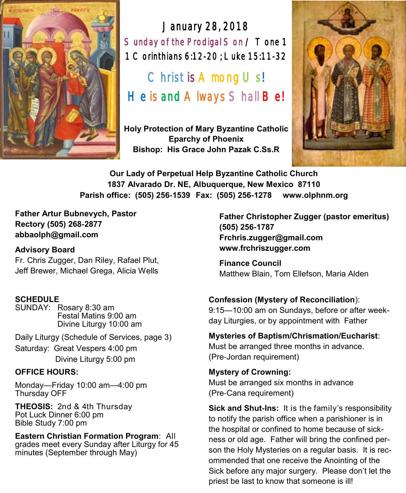

January 28, 2018 Sunday of the Prodigal Son / Tone 1 1 Corinthians 6:12-20 ; Luke 15:11-32

Christ is  $A$  mong  $U$  s! He is and A lways S hall Be!

**Holy Protection of Mary Byzantine Catholic Eparchy of Phoenix Bishop: His Grace John Pazak C.Ss.R**



**Our Lady of Perpetual Help Byzantine Catholic Church 1837 Alvarado Dr. NE, Albuquerque, New Mexico 87110 Parish office: (505) 256-1539 Fax: (505) 256-1278 www.olphnm.org**

**Father Artur Bubnevych, Pastor Rectory (505) 268-2877 abbaolph@gmail.com** 

#### **Advisory Board**

Fr. Chris Zugger, Dan Riley, Rafael Plut, Jeff Brewer, Michael Grega, Alicia Wells

#### **SCHEDULE**

SUNDAY: Rosary 8:30 am Festal Matins 9:00 am Divine Liturgy 10:00 am

Daily Liturgy (Schedule of Services, page 3) Saturday: Great Vespers 4:00 pm Divine Liturgy 5:00 pm

#### **OFFICE HOURS:**

Monday—Friday 10:00 am—4:00 pm Thursday OFF

**THEOSIS:** 2nd & 4th Thursday Pot Luck Dinner 6:00 pm Bible Study 7:00 pm

**Eastern Christian Formation Program**: All grades meet every Sunday after Liturgy for 45 minutes (September through May)

**Father Christopher Zugger (pastor emeritus) (505) 256-1787 Frchris.zugger@gmail.com www.frchriszugger.com** 

**Finance Council**  Matthew Blain, Tom Ellefson, Maria Alden

#### **Confession (Mystery of Reconciliation**):

9:15—10:00 am on Sundays, before or after weekday Liturgies, or by appointment with Father

**Mysteries of Baptism/Chrismation/Eucharist**:

Must be arranged three months in advance. (Pre-Jordan requirement)

**Mystery of Crowning:**  Must be arranged six months in advance (Pre-Cana requirement)

**Sick and Shut-Ins:** It is the family's responsibility to notify the parish office when a parishioner is in the hospital or confined to home because of sickness or old age. Father will bring the confined person the Holy Mysteries on a regular basis. It is recommended that one receive the Anointing of the Sick before any major surgery. Please don't let the priest be last to know that someone is ill!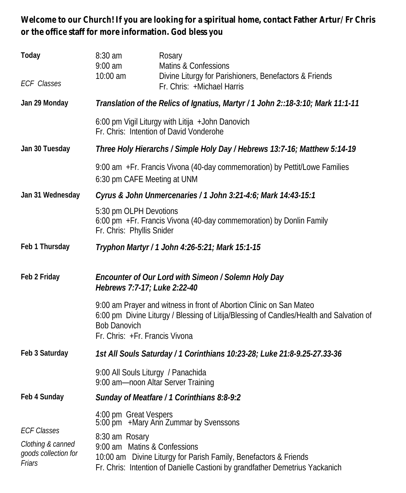**Welcome to our Church! If you are looking for a spiritual home, contact Father Artur/Fr Chris or the office staff for more information. God bless you**

| Today<br><b>ECF</b> Classes                                               | 8:30 am<br>$9:00$ am<br>10:00 am                                                                                                                                                      | Rosary<br>Matins & Confessions<br>Divine Liturgy for Parishioners, Benefactors & Friends<br>Fr. Chris: +Michael Harris                                         |  |
|---------------------------------------------------------------------------|---------------------------------------------------------------------------------------------------------------------------------------------------------------------------------------|----------------------------------------------------------------------------------------------------------------------------------------------------------------|--|
| Jan 29 Monday                                                             | Translation of the Relics of Ignatius, Martyr / 1 John 2::18-3:10; Mark 11:1-11                                                                                                       |                                                                                                                                                                |  |
|                                                                           | 6:00 pm Vigil Liturgy with Litija + John Danovich<br>Fr. Chris: Intention of David Vonderohe                                                                                          |                                                                                                                                                                |  |
| Jan 30 Tuesday                                                            | Three Holy Hierarchs / Simple Holy Day / Hebrews 13:7-16; Matthew 5:14-19                                                                                                             |                                                                                                                                                                |  |
|                                                                           | 9:00 am +Fr. Francis Vivona (40-day commemoration) by Pettit/Lowe Families<br>6:30 pm CAFE Meeting at UNM                                                                             |                                                                                                                                                                |  |
| Jan 31 Wednesday                                                          | Cyrus & John Unmercenaries / 1 John 3:21-4:6; Mark 14:43-15:1                                                                                                                         |                                                                                                                                                                |  |
|                                                                           | 5:30 pm OLPH Devotions<br>6:00 pm + Fr. Francis Vivona (40-day commemoration) by Donlin Family<br>Fr. Chris: Phyllis Snider                                                           |                                                                                                                                                                |  |
| Feb 1 Thursday                                                            | Tryphon Martyr / 1 John 4:26-5:21; Mark 15:1-15                                                                                                                                       |                                                                                                                                                                |  |
| Feb 2 Friday                                                              | Hebrews 7:7-17; Luke 2:22-40                                                                                                                                                          | Encounter of Our Lord with Simeon / Solemn Holy Day                                                                                                            |  |
|                                                                           | <b>Bob Danovich</b><br>Fr. Chris: +Fr. Francis Vivona                                                                                                                                 | 9:00 am Prayer and witness in front of Abortion Clinic on San Mateo<br>6:00 pm Divine Liturgy / Blessing of Litija/Blessing of Candles/Health and Salvation of |  |
| Feb 3 Saturday                                                            |                                                                                                                                                                                       | 1st All Souls Saturday / 1 Corinthians 10:23-28; Luke 21:8-9.25-27.33-36                                                                                       |  |
|                                                                           | 9:00 All Souls Liturgy / Panachida<br>9:00 am-noon Altar Server Training                                                                                                              |                                                                                                                                                                |  |
| Feb 4 Sunday                                                              |                                                                                                                                                                                       | Sunday of Meatfare / 1 Corinthians 8:8-9:2                                                                                                                     |  |
| <b>ECF Classes</b><br>Clothing & canned<br>goods collection for<br>Friars | 4:00 pm Great Vespers<br>5:00 pm + Mary Ann Zummar by Svenssons<br>8:30 am Rosary<br>9:00 am Matins & Confessions<br>10:00 am Divine Liturgy for Parish Family, Benefactors & Friends |                                                                                                                                                                |  |
|                                                                           |                                                                                                                                                                                       | Fr. Chris: Intention of Danielle Castioni by grandfather Demetrius Yackanich                                                                                   |  |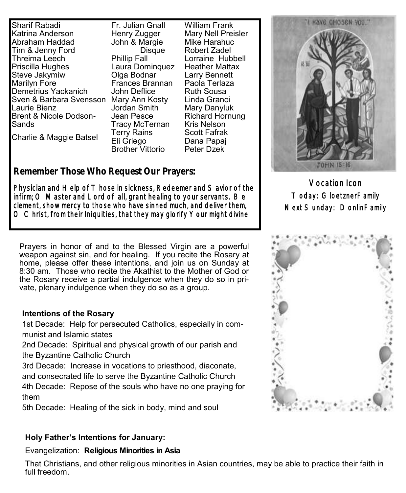Sharif Rabadi Katrina Anderson Abraham Haddad Tim & Jenny Ford Threima Leech Priscilla Hughes Steve Jakymiw Marilyn Fore Demetrius Yackanich Sven & Barbara Svensson Mary Ann Kosty Laurie Bienz Brent & Nicole Dodson-Sands

Charlie & Maggie Batsel

Fr. Julian Gnall Henry Zugger John & Margie Disque Phillip Fall Laura Dominquez Olga Bodnar Frances Brannan John Deflice Jordan Smith Jean Pesce Tracy McTernan Terry Rains Eli Griego Brother Vittorio

William Frank Mary Nell Preisler Mike Harahuc Robert Zadel Lorraine Hubbell Heather Mattax Larry Bennett Paola Terlaza Ruth Sousa Linda Granci Mary Danyluk Richard Hornung Kris Nelson Scott Fafrak Dana Papaj Peter Dzek

### **Remember Those Who Request Our Prayers:**

Physician and Help of T hose in sickness, Redeemer and S avior of the infirm; O Master and Lord of all, grant healing to your servants. Be clement, show mercy to those who have sinned much, and deliver them,  $\circ$  C hrist, from their Iniquities, that they may glorify Your might divine

Prayers in honor of and to the Blessed Virgin are a powerful weapon against sin, and for healing. If you recite the Rosary at home, please offer these intentions, and join us on Sunday at 8:30 am. Those who recite the Akathist to the Mother of God or the Rosary receive a partial indulgence when they do so in private, plenary indulgence when they do so as a group.

#### **Intentions of the Rosary**

1st Decade: Help for persecuted Catholics, especially in communist and Islamic states

2nd Decade: Spiritual and physical growth of our parish and the Byzantine Catholic Church

3rd Decade: Increase in vocations to priesthood, diaconate, and consecrated life to serve the Byzantine Catholic Church

4th Decade: Repose of the souls who have no one praying for them

5th Decade: Healing of the sick in body, mind and soul

#### **Holy Father's Intentions for January:**

#### Evangelization: **Religious Minorities in Asia**

That Christians, and other religious minorities in Asian countries, may be able to practice their faith in full freedom.



Vocation Icon Today: GloetznerFamily Next Sunday: DonlinFamily

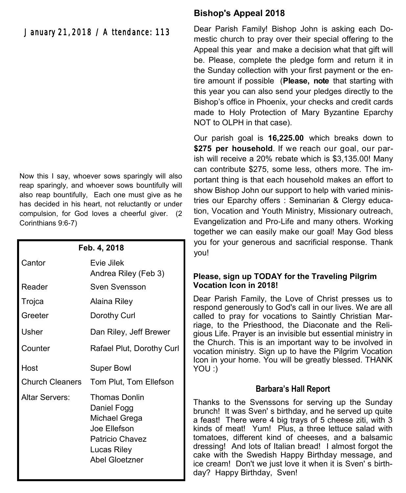January 21, 2018 / Attendance: 113

Now this I say, whoever sows sparingly will also reap sparingly, and whoever sows bountifully will also reap bountifully, Each one must give as he has decided in his heart, not reluctantly or under compulsion, for God loves a cheerful giver. (2 Corinthians 9:6-7)

| Feb. 4, 2018           |                                                                                                                   |  |
|------------------------|-------------------------------------------------------------------------------------------------------------------|--|
| Cantor                 | Evie Jilek<br>Andrea Riley (Feb 3)                                                                                |  |
| Reader                 | Sven Svensson                                                                                                     |  |
| Trojca                 | Alaina Riley                                                                                                      |  |
| Greeter                | Dorothy Curl                                                                                                      |  |
| Usher                  | Dan Riley, Jeff Brewer                                                                                            |  |
| Counter                | Rafael Plut, Dorothy Curl                                                                                         |  |
| Host                   | Super Bowl                                                                                                        |  |
| <b>Church Cleaners</b> | Tom Plut, Tom Ellefson                                                                                            |  |
| Altar Servers:         | Thomas Donlin<br>Daniel Fogg<br>Michael Grega<br>Joe Ellefson<br>Patricio Chavez<br>Lucas Riley<br>Abel Gloetzner |  |

#### **Bishop's Appeal 2018**

Dear Parish Family! Bishop John is asking each Domestic church to pray over their special offering to the Appeal this year and make a decision what that gift will be. Please, complete the pledge form and return it in the Sunday collection with your first payment or the entire amount if possible (**Please, note** that starting with this year you can also send your pledges directly to the Bishop's office in Phoenix, your checks and credit cards made to Holy Protection of Mary Byzantine Eparchy NOT to OLPH in that case).

Our parish goal is **16,225.00** which breaks down to \$275 per household. If we reach our goal, our parish will receive a 20% rebate which is \$3,135.00! Many can contribute \$275, some less, others more. The important thing is that each household makes an effort to show Bishop John our support to help with varied ministries our Eparchy offers : Seminarian & Clergy education, Vocation and Youth Ministry, Missionary outreach, Evangelization and Pro-Life and many others. Working together we can easily make our goal! May God bless you for your generous and sacrificial response. Thank you!

#### **Please, sign up TODAY for the Traveling Pilgrim Vocation Icon in 2018!**

Dear Parish Family, the Love of Christ presses us to respond generously to God's call in our lives. We are all called to pray for vocations to Saintly Christian Marriage, to the Priesthood, the Diaconate and the Religious Life. Prayer is an invisible but essential ministry in the Church. This is an important way to be involved in vocation ministry. Sign up to have the Pilgrim Vocation Icon in your home. You will be greatly blessed. THANK YOU :)

#### **Barbara's Hall Report**

Thanks to the Svenssons for serving up the Sunday brunch! It was Sven' s birthday, and he served up quite a feast! There were 4 big trays of 5 cheese ziti, with 3 kinds of meat! Yum! Plus, a three lettuce salad with tomatoes, different kind of cheeses, and a balsamic dressing! And lots of Italian bread! I almost forgot the cake with the Swedish Happy Birthday message, and ice cream! Don't we just love it when it is Sven' s birthday? Happy Birthday, Sven!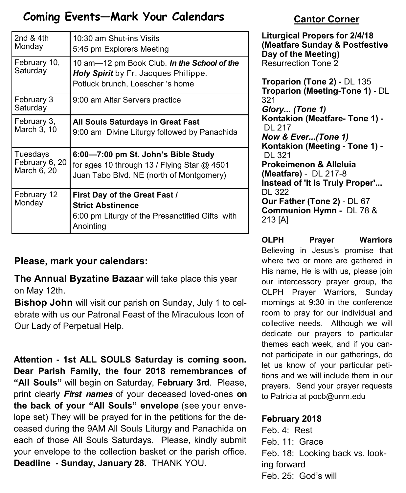# **Coming Events—Mark Your Calendars**

| 2nd $&4th$               | 10:30 am Shut-ins Visits                                                                                                  |
|--------------------------|---------------------------------------------------------------------------------------------------------------------------|
| Monday                   | 5:45 pm Explorers Meeting                                                                                                 |
| February 10,<br>Saturday | 10 am-12 pm Book Club. In the School of the<br>Holy Spirit by Fr. Jacques Philippe.<br>Potluck brunch, Loescher 's home   |
| February 3<br>Saturday   | 9:00 am Altar Servers practice                                                                                            |
| February 3,              | All Souls Saturdays in Great Fast                                                                                         |
| March 3, 10              | 9:00 am Divine Liturgy followed by Panachida                                                                              |
| Tuesdays                 | 6:00-7:00 pm St. John's Bible Study                                                                                       |
| February 6, 20           | for ages 10 through 13 / Flying Star @ 4501                                                                               |
| March 6, 20              | Juan Tabo Blvd. NE (north of Montgomery)                                                                                  |
| February 12<br>Monday    | First Day of the Great Fast /<br><b>Strict Abstinence</b><br>6:00 pm Liturgy of the Presanctified Gifts with<br>Anointing |

### **Please, mark your calendars:**

**The Annual Byzatine Bazaar** will take place this year on May 12th.

**Bishop John** will visit our parish on Sunday, July 1 to celebrate with us our Patronal Feast of the Miraculous Icon of Our Lady of Perpetual Help.

**Attention - 1st ALL SOULS Saturday is coming soon. Dear Parish Family, the four 2018 remembrances of "All Souls"** will begin on Saturday, **February 3rd**. Please, print clearly *First names* of your deceased loved-ones **on the back of your "All Souls" envelope** (see your envelope set) They will be prayed for in the petitions for the deceased during the 9AM All Souls Liturgy and Panachida on each of those All Souls Saturdays. Please, kindly submit your envelope to the collection basket or the parish office. **Deadline - Sunday, January 28.** THANK YOU.

# **Cantor Corner**

**Liturgical Propers for 2/4/18 (Meatfare Sunday & Postfestive Day of the Meeting)** Resurrection Tone 2

**Troparion (Tone 2) -** DL 135 **Troparion (Meeting-Tone 1) -** DL 321 *Glory... (Tone 1)* **Kontakion (Meatfare- Tone 1) -** DL 217 *Now & Ever...(Tone 1)* **Kontakion (Meeting - Tone 1) -** DL 321 **Prokeimenon & Alleluia (Meatfare)** - DL 217-8 **Instead of 'It Is Truly Proper'...**  DL 322 **Our Father (Tone 2)** - DL 67 **Communion Hymn -** DL 78 & 213 [A]

**OLPH Prayer Warriors**  Believing in Jesus's promise that where two or more are gathered in His name, He is with us, please join our intercessory prayer group, the OLPH Prayer Warriors, Sunday mornings at 9:30 in the conference room to pray for our individual and collective needs. Although we will dedicate our prayers to particular themes each week, and if you cannot participate in our gatherings, do let us know of your particular petitions and we will include them in our prayers. Send your prayer requests to Patricia at pocb@unm.edu

### **February 2018**

Feb. 4: Rest Feb. 11: Grace Feb. 18: Looking back vs. looking forward Feb. 25: God's will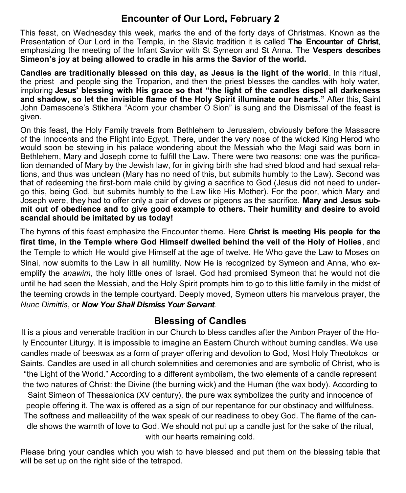## **Encounter of Our Lord, February 2**

This feast, on Wednesday this week, marks the end of the forty days of Christmas. Known as the Presentation of Our Lord in the Temple, in the Slavic tradition it is called **The Encounter of Christ**, emphasizing the meeting of the Infant Savior with St Symeon and St Anna. The **Vespers describes Simeon's joy at being allowed to cradle in his arms the Savior of the world.**

**Candles are traditionally blessed on this day, as Jesus is the light of the world**. In this ritual, the priest and people sing the Troparion, and then the priest blesses the candles with holy water, imploring **Jesus' blessing with His grace so that "the light of the candles dispel all darkeness and shadow, so let the invisible flame of the Holy Spirit illuminate our hearts."** After this, Saint John Damascene's Stikhera "Adorn your chamber O Sion" is sung and the Dismissal of the feast is given.

On this feast, the Holy Family travels from Bethlehem to Jerusalem, obviously before the Massacre of the Innocents and the Flight into Egypt. There, under the very nose of the wicked King Herod who would soon be stewing in his palace wondering about the Messiah who the Magi said was born in Bethlehem, Mary and Joseph come to fulfill the Law. There were two reasons: one was the purification demanded of Mary by the Jewish law, for in giving birth she had shed blood and had sexual relations, and thus was unclean (Mary has no need of this, but submits humbly to the Law). Second was that of redeeming the first-born male child by giving a sacrifice to God (Jesus did not need to undergo this, being God, but submits humbly to the Law like His Mother). For the poor, which Mary and Joseph were, they had to offer only a pair of doves or pigeons as the sacrifice. **Mary and Jesus submit out of obedience and to give good example to others. Their humility and desire to avoid scandal should be imitated by us today!** 

The hymns of this feast emphasize the Encounter theme. Here **Christ is meeting His people for the first time, in the Temple where God Himself dwelled behind the veil of the Holy of Holies**, and the Temple to which He would give Himself at the age of twelve. He Who gave the Law to Moses on Sinai, now submits to the Law in all humility. Now He is recognized by Symeon and Anna, who exemplify the *anawim*, the holy little ones of Israel. God had promised Symeon that he would not die until he had seen the Messiah, and the Holy Spirit prompts him to go to this little family in the midst of the teeming crowds in the temple courtyard. Deeply moved, Symeon utters his marvelous prayer, the *Nunc Dimittis*, or *Now You Shall Dismiss Your Servant.* 

# **Blessing of Candles**

It is a pious and venerable tradition in our Church to bless candles after the Ambon Prayer of the Holy Encounter Liturgy. It is impossible to imagine an Eastern Church without burning candles. We use candles made of beeswax as a form of prayer offering and devotion to God, Most Holy Theotokos or Saints. Candles are used in all church solemnities and ceremonies and are symbolic of Christ, who is "the Light of the World." According to a different symbolism, the two elements of a candle represent the two natures of Christ: the Divine (the burning wick) and the Human (the wax body). According to Saint Simeon of Thessalonica (XV century), the pure wax symbolizes the purity and innocence of people offering it. The wax is offered as a sign of our repentance for our obstinacy and willfulness. The softness and malleability of the wax speak of our readiness to obey God. The flame of the candle shows the warmth of love to God. We should not put up a candle just for the sake of the ritual, with our hearts remaining cold.

Please bring your candles which you wish to have blessed and put them on the blessing table that will be set up on the right side of the tetrapod.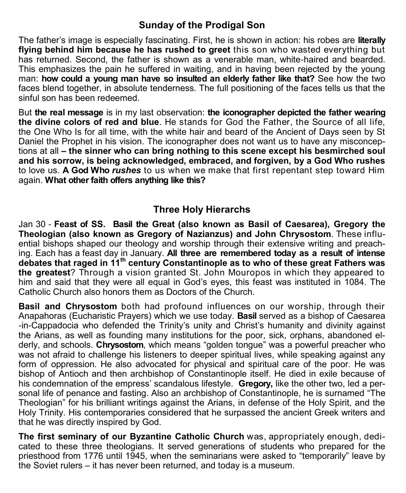### **Sunday of the Prodigal Son**

The father's image is especially fascinating. First, he is shown in action: his robes are **literally flying behind him because he has rushed to greet** this son who wasted everything but has returned. Second, the father is shown as a venerable man, white-haired and bearded. This emphasizes the pain he suffered in waiting, and in having been rejected by the young man: **how could a young man have so insulted an elderly father like that?** See how the two faces blend together, in absolute tenderness. The full positioning of the faces tells us that the sinful son has been redeemed.

But **the real message** is in my last observation: **the iconographer depicted the father wearing the divine colors of red and blue**. He stands for God the Father, the Source of all life, the One Who Is for all time, with the white hair and beard of the Ancient of Days seen by St Daniel the Prophet in his vision. The iconographer does not want us to have any misconceptions at all **– the sinner who can bring nothing to this scene except his besmirched soul and his sorrow, is being acknowledged, embraced, and forgiven, by a God Who rushes** to love us. **A God Who** *rushes* to us when we make that first repentant step toward Him again. **What other faith offers anything like this?**

### **Three Holy Hierarchs**

Jan 30 - **Feast of SS. [Basil the Great](http://en.wikipedia.org/wiki/Basil_of_Caesarea) (also known as Basil of Caesarea), Gregory the [Theologian](http://en.wikipedia.org/wiki/Gregory_of_Nazianzus) (also known as Gregory of Nazianzus) and John Chrysostom**. These influential bishops shaped our theology and worship through their extensive writing and preaching. Each has a feast day in January. **All three are remembered today as a result of intense debates that raged in 11th century Constantinople as to who of these great Fathers was the greatest**? Through a vision granted St. John Mouropos in which they appeared to him and said that they were all equal in God's eyes, this feast was instituted in 1084. The Catholic Church also honors them as Doctors of the Church.

**Basil and Chrysostom** both had profound influences on our worship, through their Anapahoras (Eucharistic Prayers) which we use today. **Basil** served as a bishop of Caesarea -in-Cappadocia who defended the Trinity's unity and Christ's humanity and divinity against the Arians, as well as founding many institutions for the poor, sick, orphans, abandoned elderly, and schools. **Chrysostom**, which means "golden tongue" was a powerful preacher who was not afraid to challenge his listeners to deeper spiritual lives, while speaking against any form of oppression. He also advocated for physical and spiritual care of the poor. He was bishop of Antioch and then archbishop of Constantinople itself. He died in exile because of his condemnation of the empress' scandalous lifestyle. **Gregory,** like the other two, led a personal life of penance and fasting. Also an archbishop of Constantinople, he is surnamed "The Theologian" for his brilliant writings against the Arians, in defense of the Holy Spirit, and the Holy Trinity. His contemporaries considered that he surpassed the ancient Greek writers and that he was directly inspired by God.

**The first seminary of our Byzantine Catholic Church** was, appropriately enough, dedicated to these three theologians. It served generations of students who prepared for the priesthood from 1776 until 1945, when the seminarians were asked to "temporarily" leave by the Soviet rulers – it has never been returned, and today is a museum.